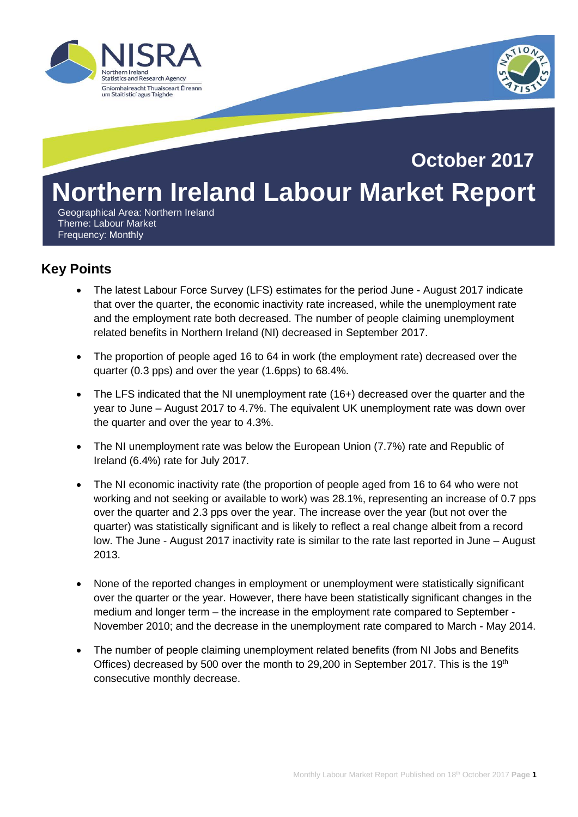



# **Northern Ireland Labour Market Report October 2017**

 Geographical Area: Northern Ireland Theme: Labour Market Frequency: Monthly

# **Key Points**

- The latest Labour Force Survey (LFS) estimates for the period June August 2017 indicate that over the quarter, the economic inactivity rate increased, while the unemployment rate and the employment rate both decreased. The number of people claiming unemployment related benefits in Northern Ireland (NI) decreased in September 2017.
- The proportion of people aged 16 to 64 in work (the employment rate) decreased over the quarter (0.3 pps) and over the year (1.6pps) to 68.4%.
- The LFS indicated that the NI unemployment rate (16+) decreased over the quarter and the year to June – August 2017 to 4.7%. The equivalent UK unemployment rate was down over the quarter and over the year to 4.3%.
- The NI unemployment rate was below the European Union (7.7%) rate and Republic of Ireland (6.4%) rate for July 2017.
- The NI economic inactivity rate (the proportion of people aged from 16 to 64 who were not working and not seeking or available to work) was 28.1%, representing an increase of 0.7 pps over the quarter and 2.3 pps over the year. The increase over the year (but not over the quarter) was statistically significant and is likely to reflect a real change albeit from a record low. The June - August 2017 inactivity rate is similar to the rate last reported in June – August 2013.
- None of the reported changes in employment or unemployment were statistically significant over the quarter or the year. However, there have been statistically significant changes in the medium and longer term – the increase in the employment rate compared to September - November 2010; and the decrease in the unemployment rate compared to March - May 2014.
- The number of people claiming unemployment related benefits (from NI Jobs and Benefits Offices) decreased by 500 over the month to 29,200 in September 2017. This is the 19th consecutive monthly decrease.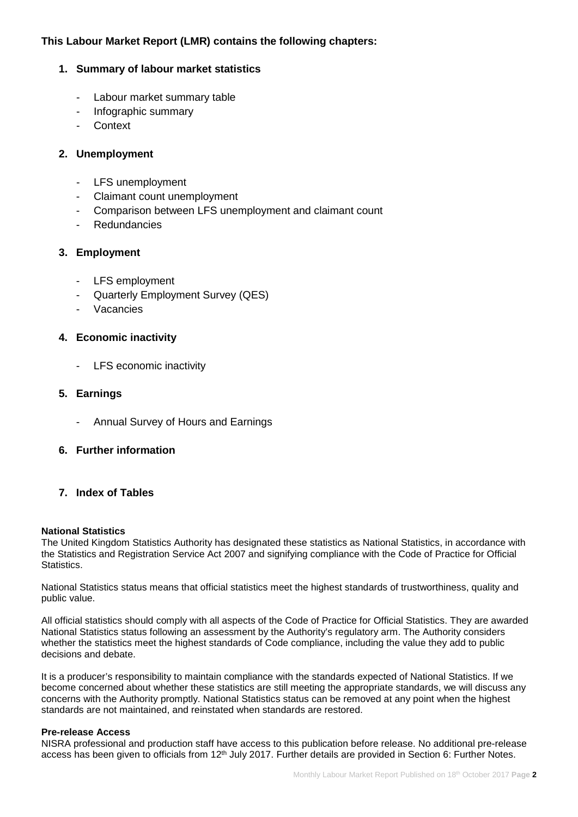# **This Labour Market Report (LMR) contains the following chapters:**

## **1. Summary of labour market statistics**

- Labour market summary table
- Infographic summary
- Context

#### **2. Unemployment**

- LFS unemployment
- Claimant count unemployment
- Comparison between LFS unemployment and claimant count
- **Redundancies**

#### **3. Employment**

- LFS employment
- Quarterly Employment Survey (QES)
- **Vacancies**

#### **4. Economic inactivity**

- LFS economic inactivity

#### **5. Earnings**

- Annual Survey of Hours and Earnings
- **6. Further information**

#### **7. Index of Tables**

#### **National Statistics**

The United Kingdom Statistics Authority has designated these statistics as National Statistics, in accordance with the Statistics and Registration Service Act 2007 and signifying compliance with the Code of Practice for Official Statistics.

National Statistics status means that official statistics meet the highest standards of trustworthiness, quality and public value.

All official statistics should comply with all aspects of the Code of Practice for Official Statistics. They are awarded National Statistics status following an assessment by the Authority's regulatory arm. The Authority considers whether the statistics meet the highest standards of Code compliance, including the value they add to public decisions and debate.

It is a producer's responsibility to maintain compliance with the standards expected of National Statistics. If we become concerned about whether these statistics are still meeting the appropriate standards, we will discuss any concerns with the Authority promptly. National Statistics status can be removed at any point when the highest standards are not maintained, and reinstated when standards are restored.

#### **Pre-release Access**

NISRA professional and production staff have access to this publication before release. No additional pre-release access has been given to officials from 12<sup>th</sup> July 2017. Further details are provided in Section 6: Further Notes.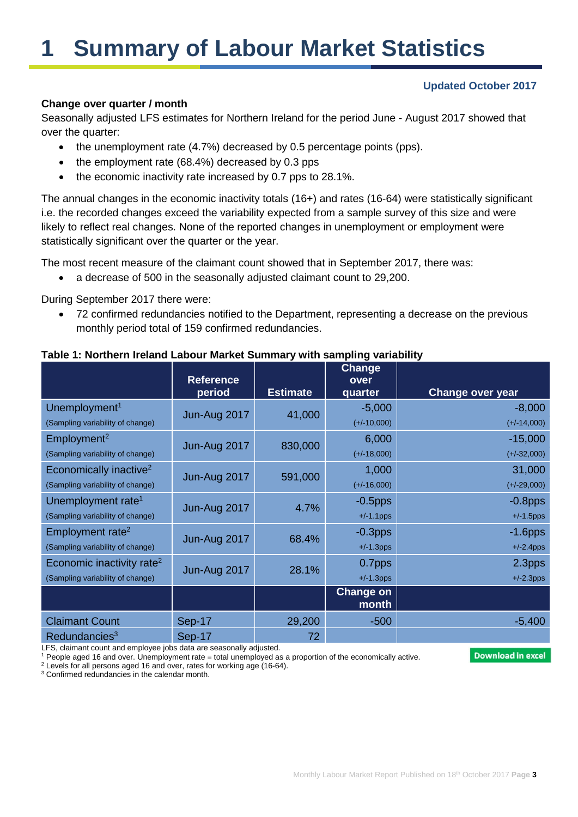# **1 Summary of Labour Market Statistics**

# **Updated October 2017**

#### **Change over quarter / month**

Seasonally adjusted LFS estimates for Northern Ireland for the period June - August 2017 showed that over the quarter:

- the unemployment rate (4.7%) decreased by 0.5 percentage points (pps).
- the employment rate (68.4%) decreased by 0.3 pps
- the economic inactivity rate increased by 0.7 pps to 28.1%.

The annual changes in the economic inactivity totals (16+) and rates (16-64) were statistically significant i.e. the recorded changes exceed the variability expected from a sample survey of this size and were likely to reflect real changes. None of the reported changes in unemployment or employment were statistically significant over the quarter or the year.

The most recent measure of the claimant count showed that in September 2017, there was:

• a decrease of 500 in the seasonally adjusted claimant count to 29,200.

During September 2017 there were:

• 72 confirmed redundancies notified to the Department, representing a decrease on the previous monthly period total of 159 confirmed redundancies.

|                                       | <b>Reference</b><br>period | <b>Estimate</b> | Change<br>over<br>quarter | <b>Change over year</b> |
|---------------------------------------|----------------------------|-----------------|---------------------------|-------------------------|
| Unemployment <sup>1</sup>             |                            | 41,000          | $-5,000$                  | $-8,000$                |
| (Sampling variability of change)      | Jun-Aug 2017               |                 | $(+/-10,000)$             | $(+/-14,000)$           |
| Employment <sup>2</sup>               | Jun-Aug 2017               | 830,000         | 6,000                     | $-15,000$               |
| (Sampling variability of change)      |                            |                 | $(+/-18,000)$             | $(+/-32,000)$           |
| Economically inactive <sup>2</sup>    | Jun-Aug 2017               | 591,000         | 1,000                     | 31,000                  |
| (Sampling variability of change)      |                            |                 | $(+/-16,000)$             | $(+/-29,000)$           |
| Unemployment rate <sup>1</sup>        | Jun-Aug 2017               | 4.7%            | $-0.5$ pps                | $-0.8$ pps              |
| (Sampling variability of change)      |                            |                 | $+/-1.1$ pps              | $+/-1.5$ pps            |
| Employment rate <sup>2</sup>          | Jun-Aug 2017               | 68.4%           | $-0.3$ pps                | $-1.6$ pps              |
| (Sampling variability of change)      |                            |                 | $+/-1.3$ pps              | $+/-2.4$ pps            |
| Economic inactivity rate <sup>2</sup> | Jun-Aug 2017               | 28.1%           | 0.7pps                    | 2.3pps                  |
| (Sampling variability of change)      |                            |                 | $+/-1.3$ pps              | $+/-2.3$ pps            |
|                                       |                            |                 | <b>Change on</b><br>month |                         |
| <b>Claimant Count</b>                 | Sep-17                     | 29,200          | $-500$                    | $-5,400$                |
| Redundancies <sup>3</sup>             | Sep-17                     | 72              |                           |                         |

# **Table 1: Northern Ireland Labour Market Summary with sampling variability**

LFS, claimant count and employee jobs data are seasonally adjusted.

<sup>1</sup> People aged 16 and over. Unemployment rate = total unemployed as a proportion of the economically active.

**Download in excel** 

<sup>2</sup> Levels for all persons aged 16 and over, rates for working age (16-64).  $3$  Confirmed redundancies in the calendar month.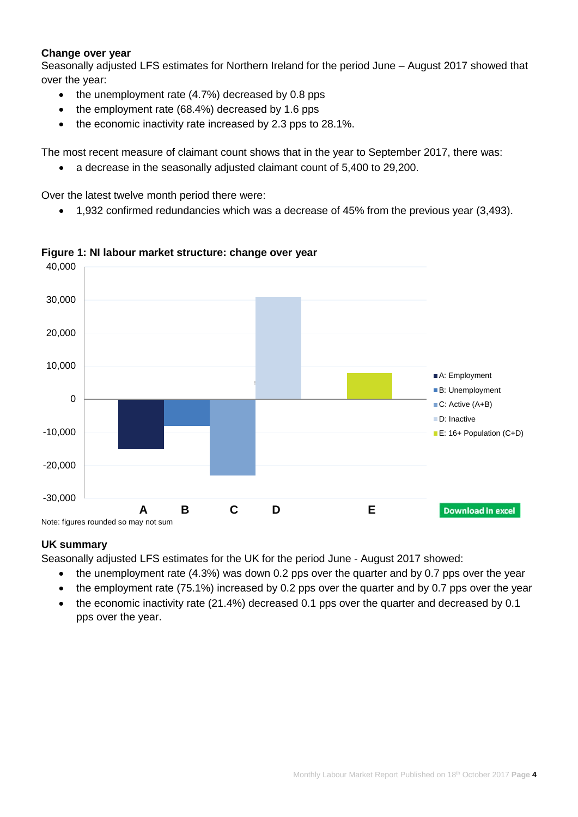## **Change over year**

Seasonally adjusted LFS estimates for Northern Ireland for the period June – August 2017 showed that over the year:

- the unemployment rate (4.7%) decreased by 0.8 pps
- the employment rate (68.4%) decreased by 1.6 pps
- the economic inactivity rate increased by 2.3 pps to 28.1%.

The most recent measure of claimant count shows that in the year to September 2017, there was:

• a decrease in the seasonally adjusted claimant count of 5,400 to 29,200.

Over the latest twelve month period there were:

• 1,932 confirmed redundancies which was a decrease of 45% from the previous year (3,493).



#### **Figure 1: NI labour market structure: change over year**

#### **UK summary**

Seasonally adjusted LFS estimates for the UK for the period June - August 2017 showed:

- the unemployment rate (4.3%) was down 0.2 pps over the quarter and by 0.7 pps over the year
- the employment rate (75.1%) increased by 0.2 pps over the quarter and by 0.7 pps over the year
- the economic inactivity rate (21.4%) decreased 0.1 pps over the quarter and decreased by 0.1 pps over the year.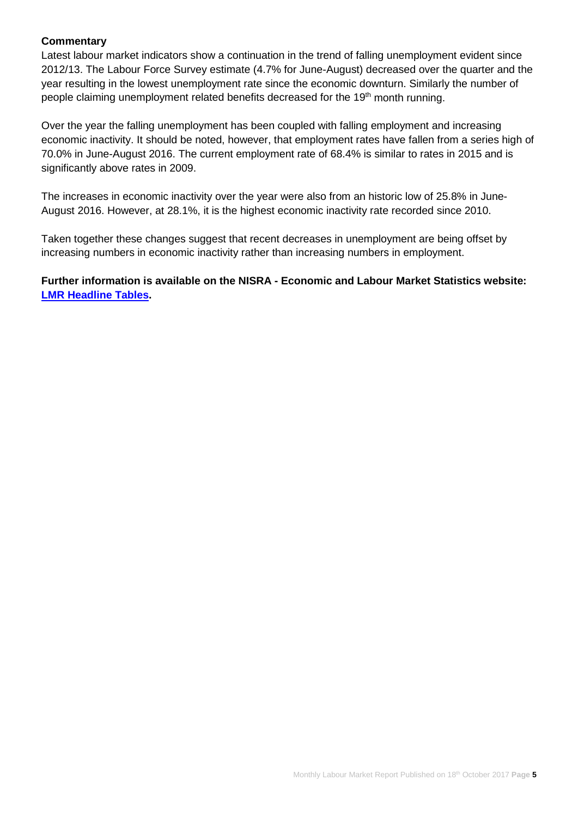#### **Commentary**

Latest labour market indicators show a continuation in the trend of falling unemployment evident since 2012/13. The Labour Force Survey estimate (4.7% for June-August) decreased over the quarter and the year resulting in the lowest unemployment rate since the economic downturn. Similarly the number of people claiming unemployment related benefits decreased for the 19<sup>th</sup> month running.

Over the year the falling unemployment has been coupled with falling employment and increasing economic inactivity. It should be noted, however, that employment rates have fallen from a series high of 70.0% in June-August 2016. The current employment rate of 68.4% is similar to rates in 2015 and is significantly above rates in 2009.

The increases in economic inactivity over the year were also from an historic low of 25.8% in June-August 2016. However, at 28.1%, it is the highest economic inactivity rate recorded since 2010.

Taken together these changes suggest that recent decreases in unemployment are being offset by increasing numbers in economic inactivity rather than increasing numbers in employment.

**Further information is available on the NISRA - Economic and Labour Market Statistics website: [LMR Headline Tables.](https://www.nisra.gov.uk/sites/nisra.gov.uk/files/publications/J47eb-headline-lmr-tables-September-2017.XLSX)**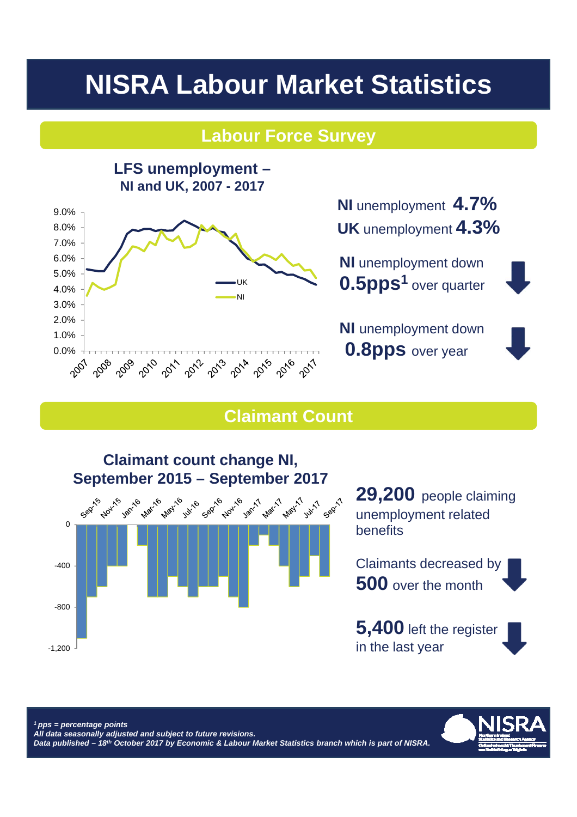# **NISRA Labour Market Statistics**

# **Labour Force Survey**



**NI** unemployment **4.7% UK** unemployment **4.3%**

**NI** unemployment down **0.5pps1** over quarter

**NI** unemployment down **0.8pps** over year



# **Claimant Count**



29,200 people claiming unemployment related benefits

Claimants decreased by **500** over the month

**5,400** left the register in the last year



*1 pps = percentage points All data seasonally adjusted and subject to future revisions. Data published – 18th October 2017 by Economic & Labour Market Statistics branch which is part of NISRA.*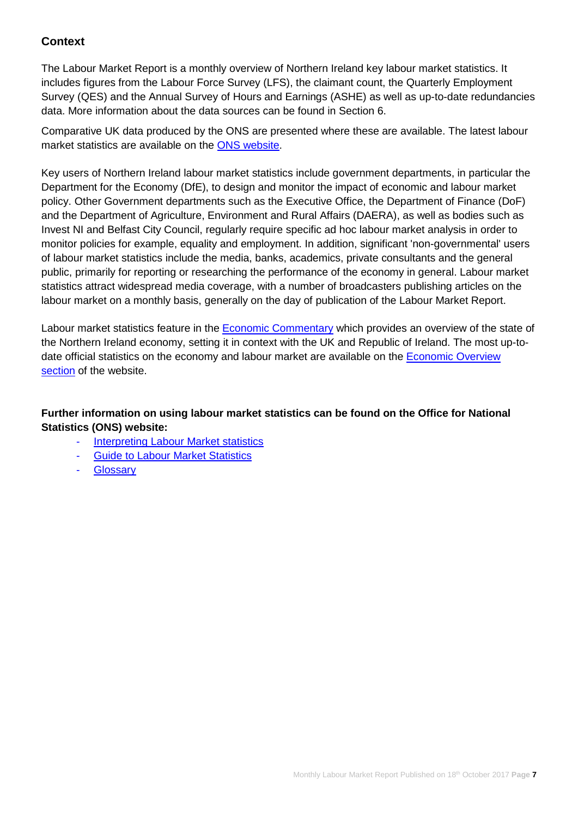# **Context**

The Labour Market Report is a monthly overview of Northern Ireland key labour market statistics. It includes figures from the Labour Force Survey (LFS), the claimant count, the Quarterly Employment Survey (QES) and the Annual Survey of Hours and Earnings (ASHE) as well as up-to-date redundancies data. More information about the data sources can be found in Section 6.

Comparative UK data produced by the ONS are presented where these are available. The latest labour market statistics are available on the [ONS website.](http://www.ons.gov.uk/ons/taxonomy/index.html?nscl=Labour+Market)

Key users of Northern Ireland labour market statistics include government departments, in particular the Department for the Economy (DfE), to design and monitor the impact of economic and labour market policy. Other Government departments such as the Executive Office, the Department of Finance (DoF) and the Department of Agriculture, Environment and Rural Affairs (DAERA), as well as bodies such as Invest NI and Belfast City Council, regularly require specific ad hoc labour market analysis in order to monitor policies for example, equality and employment. In addition, significant 'non-governmental' users of labour market statistics include the media, banks, academics, private consultants and the general public, primarily for reporting or researching the performance of the economy in general. Labour market statistics attract widespread media coverage, with a number of broadcasters publishing articles on the labour market on a monthly basis, generally on the day of publication of the Labour Market Report.

Labour market statistics feature in the [Economic Commentary](https://www.economy-ni.gov.uk/publications/dfe-economic-commentary) which provides an overview of the state of the Northern Ireland economy, setting it in context with the UK and Republic of Ireland. The most up-todate official statistics on the economy and labour market are available on the [Economic Overview](https://www.nisra.gov.uk/statistics/nisra-economic-and-labour-market-statistics-elms/economic-overview)  [section](https://www.nisra.gov.uk/statistics/nisra-economic-and-labour-market-statistics-elms/economic-overview) of the website.

# **Further information on using labour market statistics can be found on the Office for National Statistics (ONS) website:**

- **[Interpreting Labour Market statistics](http://www.ons.gov.uk/ons/rel/lms/labour-market-guidance/interpreting-labour-market-statistics/interpreting-lm-statistics.html)**
- **[Guide to Labour Market Statistics](https://www.ons.gov.uk/employmentandlabourmarket/peopleinwork/employmentandemployeetypes/methodologies/aguidetolabourmarketstatistics)**
- **[Glossary](https://www.ons.gov.uk/employmentandlabourmarket/peopleinwork/employmentandemployeetypes/methodologies/aguidetolabourmarketstatistics#glossary)**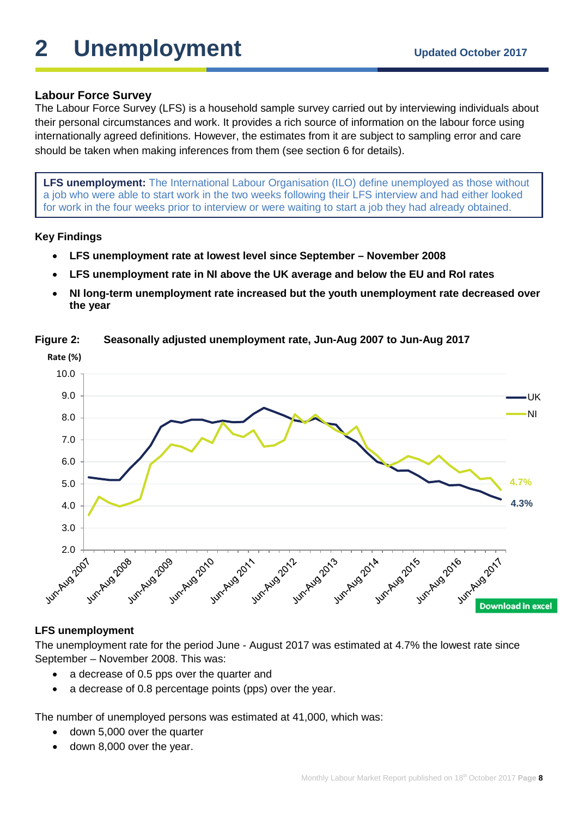# **2** Unemployment Updated October 2017

# **Labour Force Survey**

The Labour Force Survey (LFS) is a household sample survey carried out by interviewing individuals about their personal circumstances and work. It provides a rich source of information on the labour force using internationally agreed definitions. However, the estimates from it are subject to sampling error and care should be taken when making inferences from them (see section 6 for details).

**LFS unemployment:** The International Labour Organisation (ILO) define unemployed as those without a job who were able to start work in the two weeks following their LFS interview and had either looked for work in the four weeks prior to interview or were waiting to start a job they had already obtained.

# **Key Findings**

- **LFS unemployment rate at lowest level since September – November 2008**
- **LFS unemployment rate in NI above the UK average and below the EU and RoI rates**
- **NI long-term unemployment rate increased but the youth unemployment rate decreased over the year**



# **Figure 2: Seasonally adjusted unemployment rate, Jun-Aug 2007 to Jun-Aug 2017**

# **LFS unemployment**

The unemployment rate for the period June - August 2017 was estimated at 4.7% the lowest rate since September – November 2008. This was:

- a decrease of 0.5 pps over the quarter and
- a decrease of 0.8 percentage points (pps) over the year.

The number of unemployed persons was estimated at 41,000, which was:

- down 5,000 over the quarter
- down 8,000 over the year.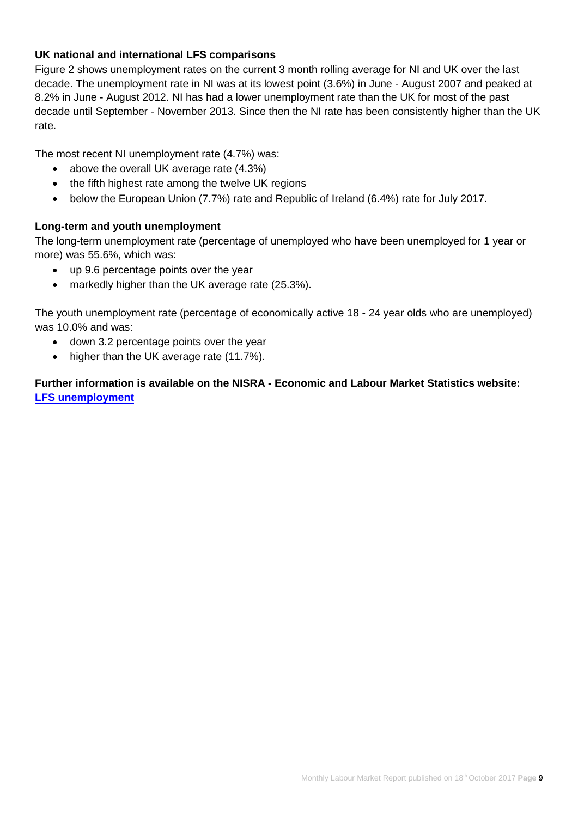# **UK national and international LFS comparisons**

Figure 2 shows unemployment rates on the current 3 month rolling average for NI and UK over the last decade. The unemployment rate in NI was at its lowest point (3.6%) in June - August 2007 and peaked at 8.2% in June - August 2012. NI has had a lower unemployment rate than the UK for most of the past decade until September - November 2013. Since then the NI rate has been consistently higher than the UK rate.

The most recent NI unemployment rate (4.7%) was:

- above the overall UK average rate (4.3%)
- the fifth highest rate among the twelve UK regions
- below the European Union (7.7%) rate and Republic of Ireland (6.4%) rate for July 2017.

# **Long-term and youth unemployment**

The long-term unemployment rate (percentage of unemployed who have been unemployed for 1 year or more) was 55.6%, which was:

- up 9.6 percentage points over the year
- markedly higher than the UK average rate (25.3%).

The youth unemployment rate (percentage of economically active 18 - 24 year olds who are unemployed) was 10.0% and was:

- down 3.2 percentage points over the year
- higher than the UK average rate (11.7%).

**Further information is available on the NISRA - Economic and Labour Market Statistics website: [LFS unemployment](https://www.nisra.gov.uk/statistics/labour-market-and-social-welfare/labour-force-survey)**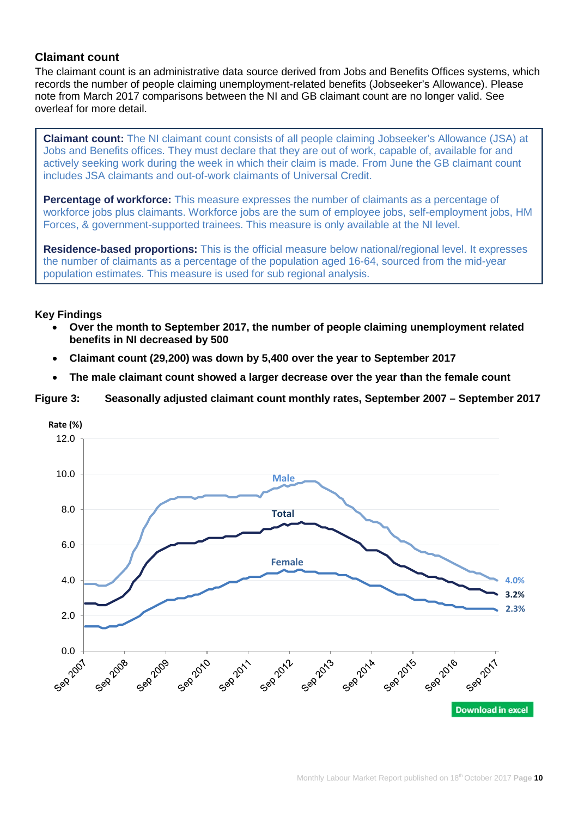# **Claimant count**

The claimant count is an administrative data source derived from Jobs and Benefits Offices systems, which records the number of people claiming unemployment-related benefits (Jobseeker's Allowance). Please note from March 2017 comparisons between the NI and GB claimant count are no longer valid. See overleaf for more detail.

**Claimant count:** The NI claimant count consists of all people claiming Jobseeker's Allowance (JSA) at Jobs and Benefits offices. They must declare that they are out of work, capable of, available for and actively seeking work during the week in which their claim is made. From June the GB claimant count includes JSA claimants and out-of-work claimants of Universal Credit.

**Percentage of workforce:** This measure expresses the number of claimants as a percentage of workforce jobs plus claimants. Workforce jobs are the sum of employee jobs, self-employment jobs, HM Forces, & government-supported trainees. This measure is only available at the NI level.

**Residence-based proportions:** This is the official measure below national/regional level. It expresses the number of claimants as a percentage of the population aged 16-64, sourced from the mid-year population estimates. This measure is used for sub regional analysis.

# **Key Findings**

- **Over the month to September 2017, the number of people claiming unemployment related benefits in NI decreased by 500**
- **Claimant count (29,200) was down by 5,400 over the year to September 2017**
- **The male claimant count showed a larger decrease over the year than the female count**

#### **Figure 3: Seasonally adjusted claimant count monthly rates, September 2007 – September 2017**

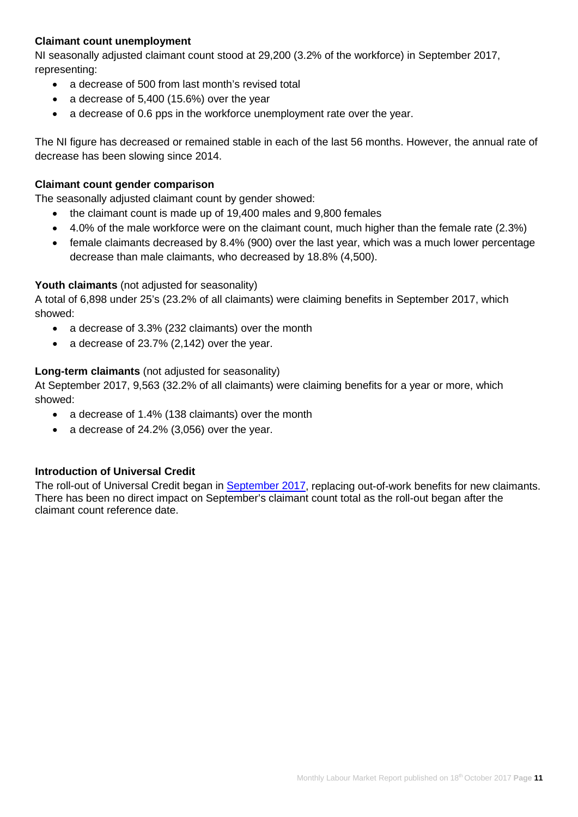# **Claimant count unemployment**

NI seasonally adjusted claimant count stood at 29,200 (3.2% of the workforce) in September 2017, representing:

- a decrease of 500 from last month's revised total
- a decrease of 5,400 (15.6%) over the year
- a decrease of 0.6 pps in the workforce unemployment rate over the year.

The NI figure has decreased or remained stable in each of the last 56 months. However, the annual rate of decrease has been slowing since 2014.

# **Claimant count gender comparison**

The seasonally adjusted claimant count by gender showed:

- the claimant count is made up of 19,400 males and 9,800 females
- 4.0% of the male workforce were on the claimant count, much higher than the female rate (2.3%)
- female claimants decreased by 8.4% (900) over the last year, which was a much lower percentage decrease than male claimants, who decreased by 18.8% (4,500).

# **Youth claimants** (not adjusted for seasonality)

A total of 6,898 under 25's (23.2% of all claimants) were claiming benefits in September 2017, which showed:

- a decrease of 3.3% (232 claimants) over the month
- a decrease of 23.7% (2,142) over the year.

# **Long-term claimants** (not adjusted for seasonality)

At September 2017, 9,563 (32.2% of all claimants) were claiming benefits for a year or more, which showed:

- a decrease of 1.4% (138 claimants) over the month
- a decrease of 24.2% (3,056) over the year.

# **Introduction of Universal Credit**

The roll-out of Universal Credit began in [September 2017,](https://www.nidirect.gov.uk/articles/universal-credit) replacing out-of-work benefits for new claimants. There has been no direct impact on September's claimant count total as the roll-out began after the claimant count reference date.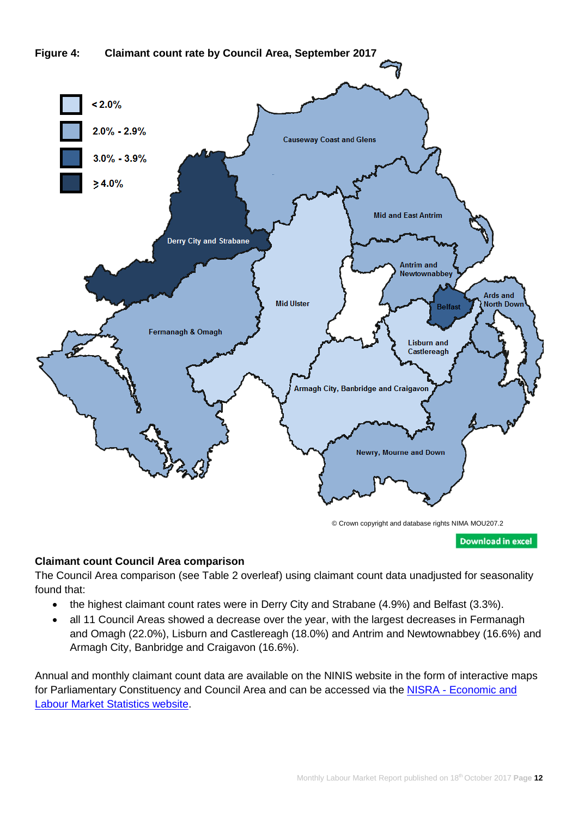

**Download in excel** 

# **Claimant count Council Area comparison**

The Council Area comparison (see Table 2 overleaf) using claimant count data unadjusted for seasonality found that:

- the highest claimant count rates were in Derry City and Strabane (4.9%) and Belfast (3.3%).
- all 11 Council Areas showed a decrease over the year, with the largest decreases in Fermanagh and Omagh (22.0%), Lisburn and Castlereagh (18.0%) and Antrim and Newtownabbey (16.6%) and Armagh City, Banbridge and Craigavon (16.6%).

Annual and monthly claimant count data are available on the NINIS website in the form of interactive maps for Parliamentary Constituency and Council Area and can be accessed via the NISRA - Economic and [Labour Market Statistics website.](http://www.ninis2.nisra.gov.uk/InteractiveMaps/Labour%20Market/Claimant%20Count%20Annual%20Averages%20AA/atlas.html)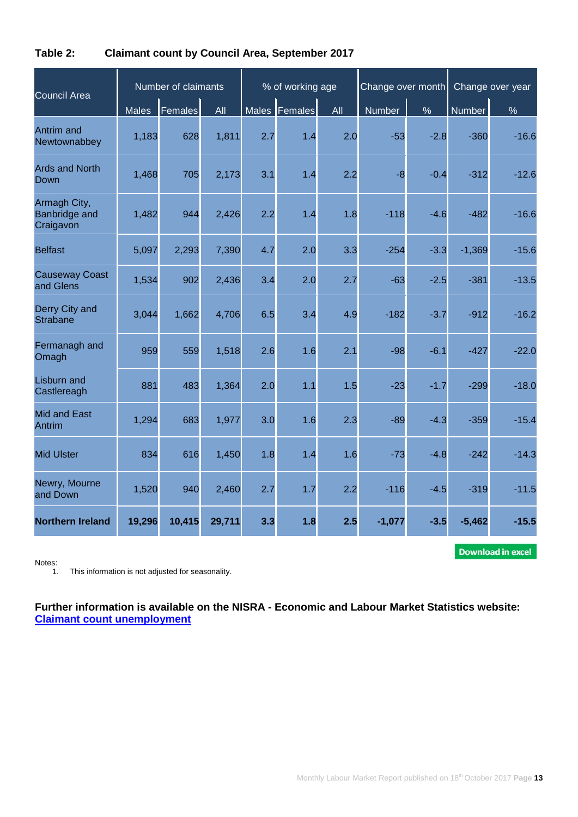| Council Area                               | Number of claimants |                |        | % of working age |               |     | Change over month |        | Change over year |         |
|--------------------------------------------|---------------------|----------------|--------|------------------|---------------|-----|-------------------|--------|------------------|---------|
|                                            | <b>Males</b>        | <b>Females</b> | All    |                  | Males Females | All | <b>Number</b>     | $\%$   | Number           | %       |
| <b>Antrim</b> and<br>Newtownabbey          | 1,183               | 628            | 1,811  | 2.7              | 1.4           | 2.0 | $-53$             | $-2.8$ | $-360$           | $-16.6$ |
| <b>Ards and North</b><br>Down              | 1,468               | 705            | 2,173  | 3.1              | 1.4           | 2.2 | $-8$              | $-0.4$ | $-312$           | $-12.6$ |
| Armagh City,<br>Banbridge and<br>Craigavon | 1,482               | 944            | 2,426  | 2.2              | 1.4           | 1.8 | $-118$            | $-4.6$ | $-482$           | $-16.6$ |
| <b>Belfast</b>                             | 5,097               | 2,293          | 7,390  | 4.7              | 2.0           | 3.3 | $-254$            | $-3.3$ | $-1,369$         | $-15.6$ |
| <b>Causeway Coast</b><br>and Glens         | 1,534               | 902            | 2,436  | 3.4              | 2.0           | 2.7 | $-63$             | $-2.5$ | $-381$           | $-13.5$ |
| Derry City and<br><b>Strabane</b>          | 3,044               | 1,662          | 4,706  | 6.5              | 3.4           | 4.9 | $-182$            | $-3.7$ | $-912$           | $-16.2$ |
| Fermanagh and<br>Omagh                     | 959                 | 559            | 1,518  | 2.6              | 1.6           | 2.1 | $-98$             | $-6.1$ | $-427$           | $-22.0$ |
| <b>Lisburn and</b><br>Castlereagh          | 881                 | 483            | 1,364  | 2.0              | 1.1           | 1.5 | $-23$             | $-1.7$ | $-299$           | $-18.0$ |
| <b>Mid and East</b><br><b>Antrim</b>       | 1,294               | 683            | 1,977  | 3.0              | 1.6           | 2.3 | $-89$             | $-4.3$ | $-359$           | $-15.4$ |
| <b>Mid Ulster</b>                          | 834                 | 616            | 1,450  | 1.8              | 1.4           | 1.6 | $-73$             | $-4.8$ | $-242$           | $-14.3$ |
| Newry, Mourne<br>and Down                  | 1,520               | 940            | 2,460  | 2.7              | 1.7           | 2.2 | $-116$            | $-4.5$ | $-319$           | $-11.5$ |
| <b>Northern Ireland</b>                    | 19,296              | 10,415         | 29,711 | 3.3              | 1.8           | 2.5 | $-1,077$          | $-3.5$ | $-5,462$         | $-15.5$ |

# **Table 2: Claimant count by Council Area, September 2017**

**Download in excel** 

Notes:<br>1.

This information is not adjusted for seasonality.

**Further information is available on the NISRA - Economic and Labour Market Statistics website: [Claimant count unemployment](https://www.nisra.gov.uk/statistics/labour-market-and-social-welfare/claimant-count)**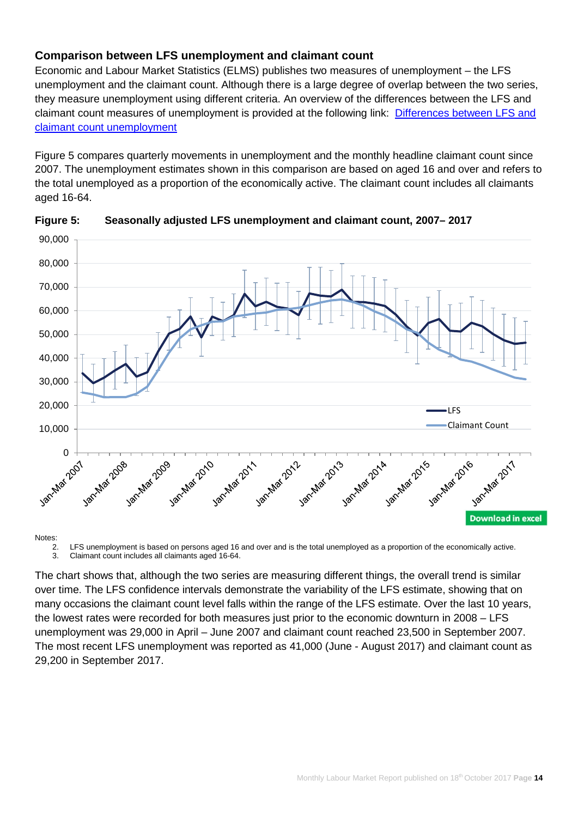# **Comparison between LFS unemployment and claimant count**

Economic and Labour Market Statistics (ELMS) publishes two measures of unemployment – the LFS unemployment and the claimant count. Although there is a large degree of overlap between the two series, they measure unemployment using different criteria. An overview of the differences between the LFS and claimant count measures of unemployment is provided at the following link: [Differences between LFS and](https://www.nisra.gov.uk/publications/differences-between-ilo-unemployment-and-claimant-count)  [claimant count unemployment](https://www.nisra.gov.uk/publications/differences-between-ilo-unemployment-and-claimant-count)

Figure 5 compares quarterly movements in unemployment and the monthly headline claimant count since 2007. The unemployment estimates shown in this comparison are based on aged 16 and over and refers to the total unemployed as a proportion of the economically active. The claimant count includes all claimants aged 16-64.



**Figure 5: Seasonally adjusted LFS unemployment and claimant count, 2007– 2017**

2. LFS unemployment is based on persons aged 16 and over and is the total unemployed as a proportion of the economically active.<br>3. Claimant count includes all claimants aged 16-64. 3. Claimant count includes all claimants aged 16-64.

The chart shows that, although the two series are measuring different things, the overall trend is similar over time. The LFS confidence intervals demonstrate the variability of the LFS estimate, showing that on many occasions the claimant count level falls within the range of the LFS estimate. Over the last 10 years, the lowest rates were recorded for both measures just prior to the economic downturn in 2008 – LFS unemployment was 29,000 in April – June 2007 and claimant count reached 23,500 in September 2007. The most recent LFS unemployment was reported as 41,000 (June - August 2017) and claimant count as 29,200 in September 2017.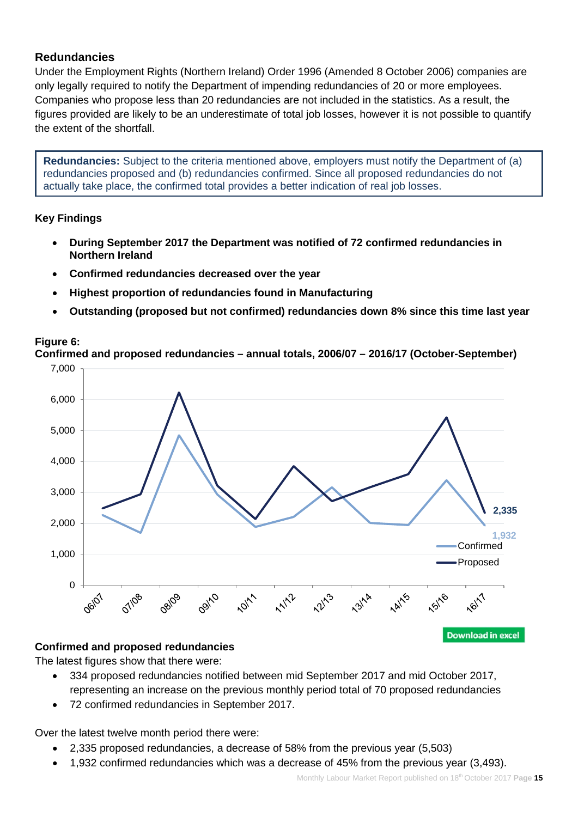# **Redundancies**

Under the Employment Rights (Northern Ireland) Order 1996 (Amended 8 October 2006) companies are only legally required to notify the Department of impending redundancies of 20 or more employees. Companies who propose less than 20 redundancies are not included in the statistics. As a result, the figures provided are likely to be an underestimate of total job losses, however it is not possible to quantify the extent of the shortfall.

**Redundancies:** Subject to the criteria mentioned above, employers must notify the Department of (a) redundancies proposed and (b) redundancies confirmed. Since all proposed redundancies do not actually take place, the confirmed total provides a better indication of real job losses.

# **Key Findings**

- **During September 2017 the Department was notified of 72 confirmed redundancies in Northern Ireland**
- **Confirmed redundancies decreased over the year**
- **Highest proportion of redundancies found in Manufacturing**
- **Outstanding (proposed but not confirmed) redundancies down 8% since this time last year**

# **Figure 6:**

**Confirmed and proposed redundancies – annual totals, 2006/07 – 2016/17 (October-September)**



#### **Confirmed and proposed redundancies**

The latest figures show that there were:

- 334 proposed redundancies notified between mid September 2017 and mid October 2017, representing an increase on the previous monthly period total of 70 proposed redundancies
- 72 confirmed redundancies in September 2017.

Over the latest twelve month period there were:

- 2,335 proposed redundancies, a decrease of 58% from the previous year (5,503)
- 1,932 confirmed redundancies which was a decrease of 45% from the previous year (3,493).

**Download in excel**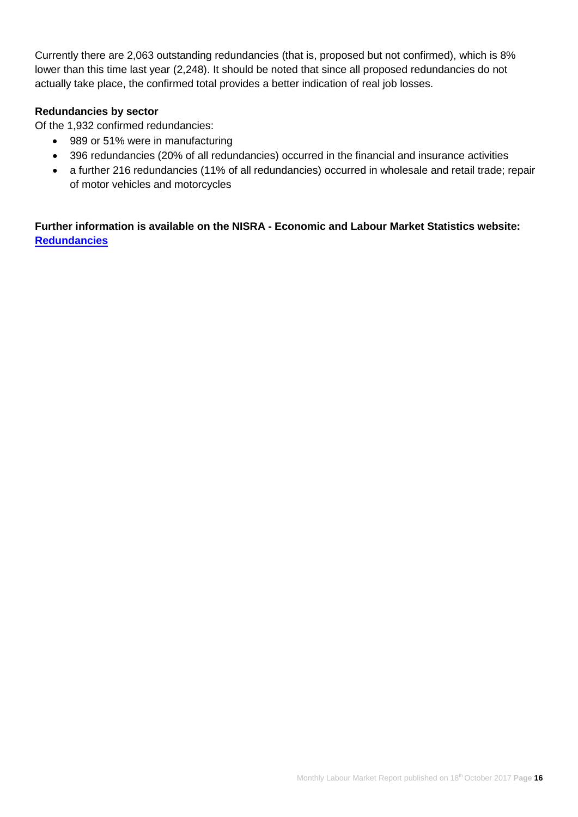Currently there are 2,063 outstanding redundancies (that is, proposed but not confirmed), which is 8% lower than this time last year (2,248). It should be noted that since all proposed redundancies do not actually take place, the confirmed total provides a better indication of real job losses.

# **Redundancies by sector**

Of the 1,932 confirmed redundancies:

- 989 or 51% were in manufacturing
- 396 redundancies (20% of all redundancies) occurred in the financial and insurance activities
- a further 216 redundancies (11% of all redundancies) occurred in wholesale and retail trade; repair of motor vehicles and motorcycles

**Further information is available on the NISRA - Economic and Labour Market Statistics website: [Redundancies](https://www.nisra.gov.uk/statistics/labour-market-and-social-welfare/redundancies)**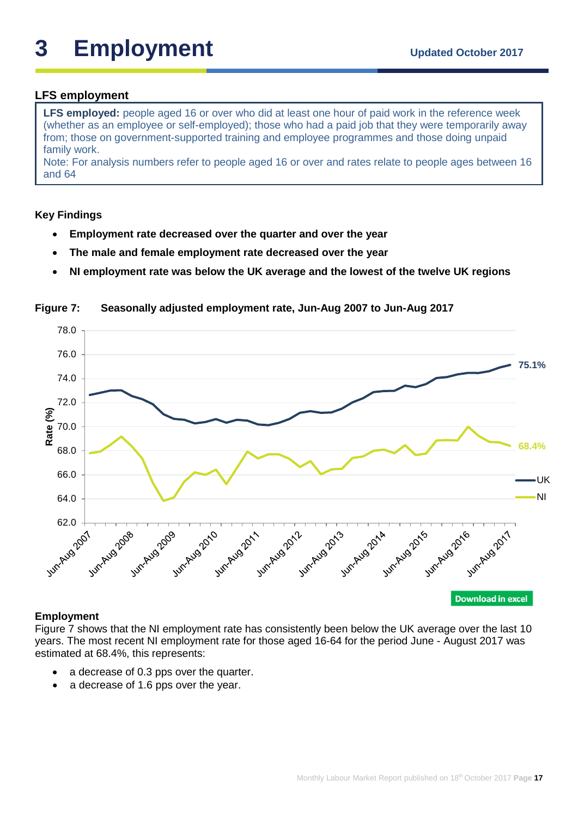# **LFS employment**

**LFS employed:** people aged 16 or over who did at least one hour of paid work in the reference week (whether as an employee or self-employed); those who had a paid job that they were temporarily away from; those on government-supported training and employee programmes and those doing unpaid family work.

Note: For analysis numbers refer to people aged 16 or over and rates relate to people ages between 16 and 64

# **Key Findings**

- **Employment rate decreased over the quarter and over the year**
- **The male and female employment rate decreased over the year**
- **NI employment rate was below the UK average and the lowest of the twelve UK regions**

78.0 76.0 **75.1%** 74.0 72.0 **Rate (%)** 70.0 **68.4%** 68.0 66.0 UK NI 64.0 62.0 + Jun-Aug 2011 Jun-Aug Jul Jun-Aug Jun-Aug 2009 Junity Junity of the College of the Mary Junity of the Blue Asia

**Figure 7: Seasonally adjusted employment rate, Jun-Aug 2007 to Jun-Aug 2017**

#### **Employment**

Figure 7 shows that the NI employment rate has consistently been below the UK average over the last 10 years. The most recent NI employment rate for those aged 16-64 for the period June - August 2017 was estimated at 68.4%, this represents:

- a decrease of 0.3 pps over the quarter.
- a decrease of 1.6 pps over the year.

**Download in excel**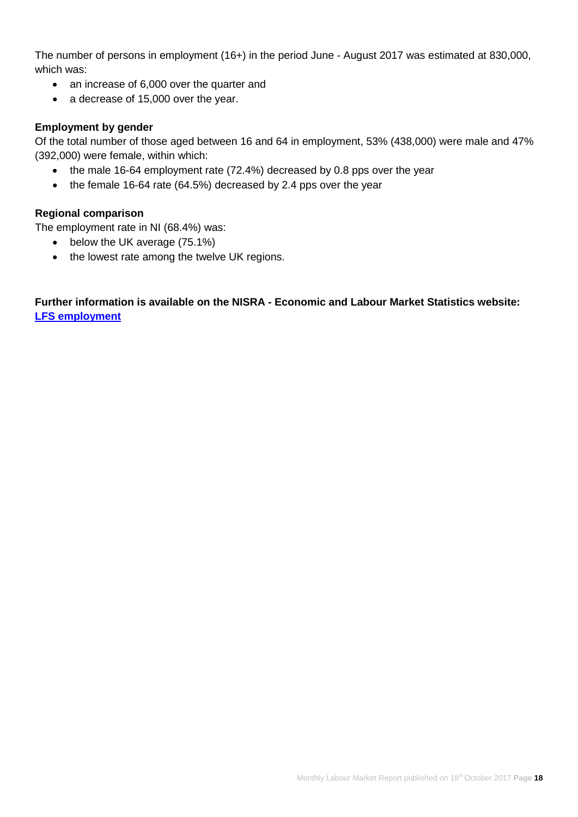The number of persons in employment (16+) in the period June - August 2017 was estimated at 830,000, which was:

- an increase of 6,000 over the quarter and
- a decrease of 15,000 over the year.

## **Employment by gender**

Of the total number of those aged between 16 and 64 in employment, 53% (438,000) were male and 47% (392,000) were female, within which:

- the male 16-64 employment rate (72.4%) decreased by 0.8 pps over the year
- the female 16-64 rate (64.5%) decreased by 2.4 pps over the year

# **Regional comparison**

The employment rate in NI (68.4%) was:

- below the UK average (75.1%)
- the lowest rate among the twelve UK regions.

# **Further information is available on the NISRA - Economic and Labour Market Statistics website: [LFS employment](https://www.nisra.gov.uk/statistics/labour-market-and-social-welfare/labour-force-survey)**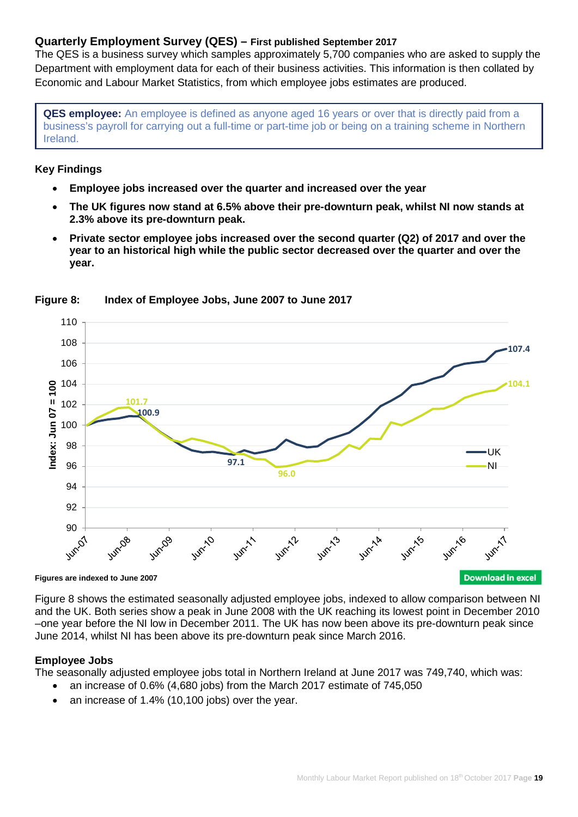# **Quarterly Employment Survey (QES) – First published September 2017**

The QES is a business survey which samples approximately 5,700 companies who are asked to supply the Department with employment data for each of their business activities. This information is then collated by Economic and Labour Market Statistics, from which employee jobs estimates are produced.

**QES employee:** An employee is defined as anyone aged 16 years or over that is directly paid from a business's payroll for carrying out a full-time or part-time job or being on a training scheme in Northern Ireland.

#### **Key Findings**

- **Employee jobs increased over the quarter and increased over the year**
- **The UK figures now stand at 6.5% above their pre-downturn peak, whilst NI now stands at 2.3% above its pre-downturn peak.**
- **Private sector employee jobs increased over the second quarter (Q2) of 2017 and over the year to an historical high while the public sector decreased over the quarter and over the year.**



#### **Figure 8: Index of Employee Jobs, June 2007 to June 2017**

**Figures are indexed to June 2007**

Figure 8 shows the estimated seasonally adjusted employee jobs, indexed to allow comparison between NI and the UK. Both series show a peak in June 2008 with the UK reaching its lowest point in December 2010 –one year before the NI low in December 2011. The UK has now been above its pre-downturn peak since June 2014, whilst NI has been above its pre-downturn peak since March 2016.

#### **Employee Jobs**

The seasonally adjusted employee jobs total in Northern Ireland at June 2017 was 749,740, which was:

- an increase of 0.6% (4,680 jobs) from the March 2017 estimate of 745,050
- an increase of 1.4% (10,100 jobs) over the year.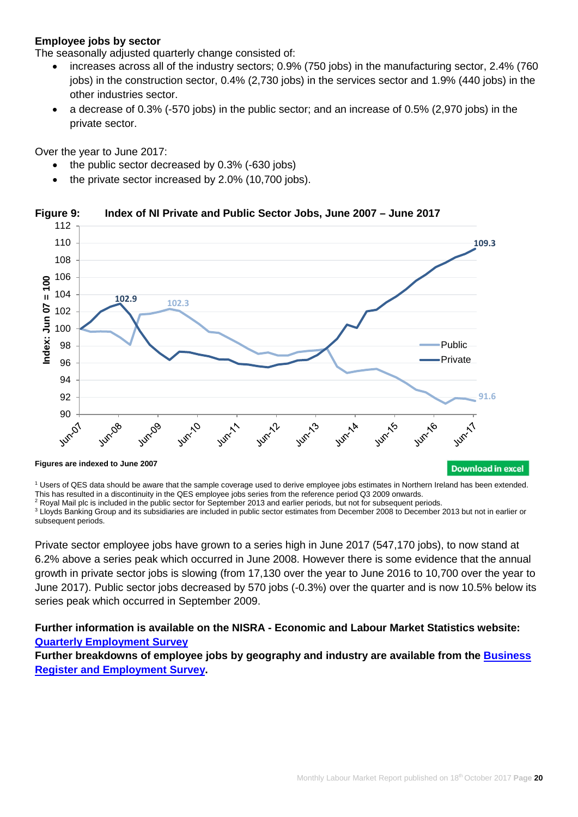## **Employee jobs by sector**

The seasonally adjusted quarterly change consisted of:

- increases across all of the industry sectors; 0.9% (750 jobs) in the manufacturing sector, 2.4% (760 jobs) in the construction sector, 0.4% (2,730 jobs) in the services sector and 1.9% (440 jobs) in the other industries sector.
- a decrease of 0.3% (-570 jobs) in the public sector; and an increase of 0.5% (2,970 jobs) in the private sector.

Over the year to June 2017:

- the public sector decreased by 0.3% (-630 jobs)
- the private sector increased by 2.0% (10,700 jobs).



#### **Figure 9: Index of NI Private and Public Sector Jobs, June 2007 – June 2017**

<sup>1</sup> Users of QES data should be aware that the sample coverage used to derive employee jobs estimates in Northern Ireland has been extended.

This has resulted in a discontinuity in the QES employee jobs series from the reference period Q3 2009 onwards. <sup>2</sup> Royal Mail plc is included in the public sector for September 2013 and earlier periods, but not for subsequent periods.

<sup>3</sup> Lloyds Banking Group and its subsidiaries are included in public sector estimates from December 2008 to December 2013 but not in earlier or subsequent periods.

Private sector employee jobs have grown to a series high in June 2017 (547,170 jobs), to now stand at 6.2% above a series peak which occurred in June 2008. However there is some evidence that the annual growth in private sector jobs is slowing (from 17,130 over the year to June 2016 to 10,700 over the year to June 2017). Public sector jobs decreased by 570 jobs (-0.3%) over the quarter and is now 10.5% below its series peak which occurred in September 2009.

# **Further information is available on the NISRA - Economic and Labour Market Statistics website: [Quarterly Employment Survey](https://www.nisra.gov.uk/statistics/labour-market-and-social-welfare/quarterly-employment-survey)**

**Further breakdowns of employee jobs by geography and industry are available from the [Business](https://www.nisra.gov.uk/statistics/annual-employee-jobs-surveys/business-register-and-employment-survey)  [Register and Employment Survey.](https://www.nisra.gov.uk/statistics/annual-employee-jobs-surveys/business-register-and-employment-survey)**

**Download in excel**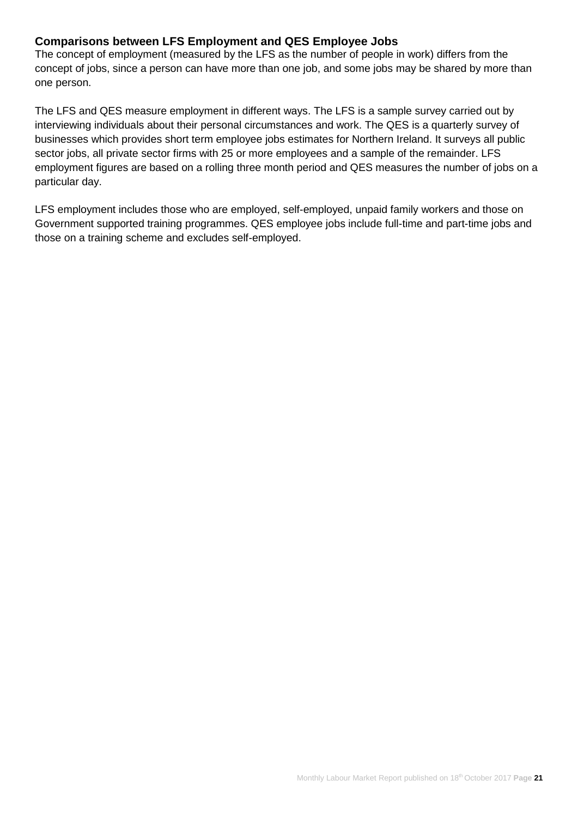# **Comparisons between LFS Employment and QES Employee Jobs**

The concept of employment (measured by the LFS as the number of people in work) differs from the concept of jobs, since a person can have more than one job, and some jobs may be shared by more than one person.

The LFS and QES measure employment in different ways. The LFS is a sample survey carried out by interviewing individuals about their personal circumstances and work. The QES is a quarterly survey of businesses which provides short term employee jobs estimates for Northern Ireland. It surveys all public sector jobs, all private sector firms with 25 or more employees and a sample of the remainder. LFS employment figures are based on a rolling three month period and QES measures the number of jobs on a particular day.

LFS employment includes those who are employed, self-employed, unpaid family workers and those on Government supported training programmes. QES employee jobs include full-time and part-time jobs and those on a training scheme and excludes self-employed.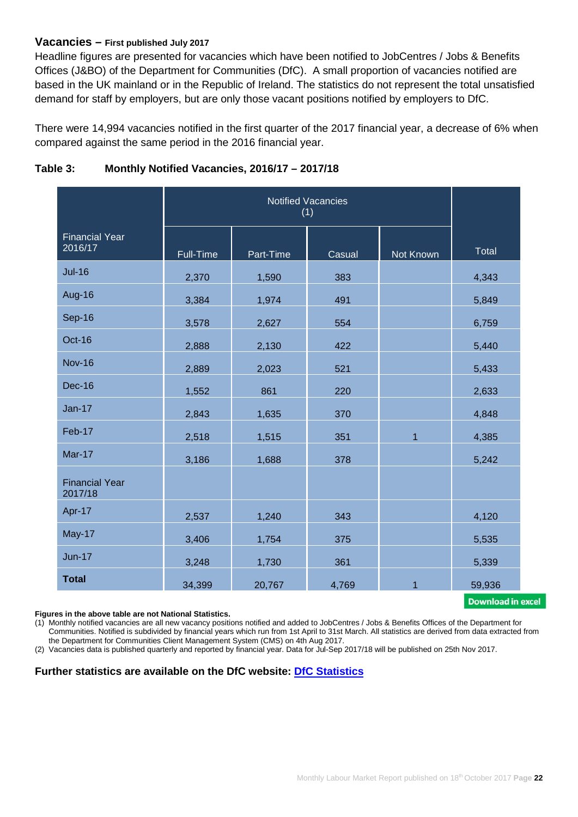#### **Vacancies – First published July 2017**

Headline figures are presented for vacancies which have been notified to JobCentres / Jobs & Benefits Offices (J&BO) of the Department for Communities (DfC). A small proportion of vacancies notified are based in the UK mainland or in the Republic of Ireland. The statistics do not represent the total unsatisfied demand for staff by employers, but are only those vacant positions notified by employers to DfC.

There were 14,994 vacancies notified in the first quarter of the 2017 financial year, a decrease of 6% when compared against the same period in the 2016 financial year.

| <b>Financial Year</b><br>2016/17 | Full-Time | Part-Time | Casual | Not Known      | Total  |
|----------------------------------|-----------|-----------|--------|----------------|--------|
| <b>Jul-16</b>                    | 2,370     | 1,590     | 383    |                | 4,343  |
| <b>Aug-16</b>                    | 3,384     | 1,974     | 491    |                | 5,849  |
| Sep-16                           | 3,578     | 2,627     | 554    |                | 6,759  |
| Oct-16                           | 2,888     | 2,130     | 422    |                | 5,440  |
| <b>Nov-16</b>                    | 2,889     | 2,023     | 521    |                | 5,433  |
| <b>Dec-16</b>                    | 1,552     | 861       | 220    |                | 2,633  |
| <b>Jan-17</b>                    | 2,843     | 1,635     | 370    |                | 4,848  |
| Feb-17                           | 2,518     | 1,515     | 351    | $\overline{1}$ | 4,385  |
| <b>Mar-17</b>                    | 3,186     | 1,688     | 378    |                | 5,242  |
| <b>Financial Year</b><br>2017/18 |           |           |        |                |        |
| Apr-17                           | 2,537     | 1,240     | 343    |                | 4,120  |
| May-17                           | 3,406     | 1,754     | 375    |                | 5,535  |
| <b>Jun-17</b>                    | 3,248     | 1,730     | 361    |                | 5,339  |
| <b>Total</b>                     | 34,399    | 20,767    | 4,769  | $\mathbf{1}$   | 59,936 |

## **Table 3: Monthly Notified Vacancies, 2016/17 – 2017/18**

Download in excel

#### **Figures in the above table are not National Statistics.**

(1) Monthly notified vacancies are all new vacancy positions notified and added to JobCentres / Jobs & Benefits Offices of the Department for Communities. Notified is subdivided by financial years which run from 1st April to 31st March. All statistics are derived from data extracted from the Department for Communities Client Management System (CMS) on 4th Aug 2017.

(2) Vacancies data is published quarterly and reported by financial year. Data for Jul-Sep 2017/18 will be published on 25th Nov 2017.

#### **Further statistics are available on the DfC website: [DfC Statistics](https://www.communities-ni.gov.uk/topics/dfc-statistics-and-research)**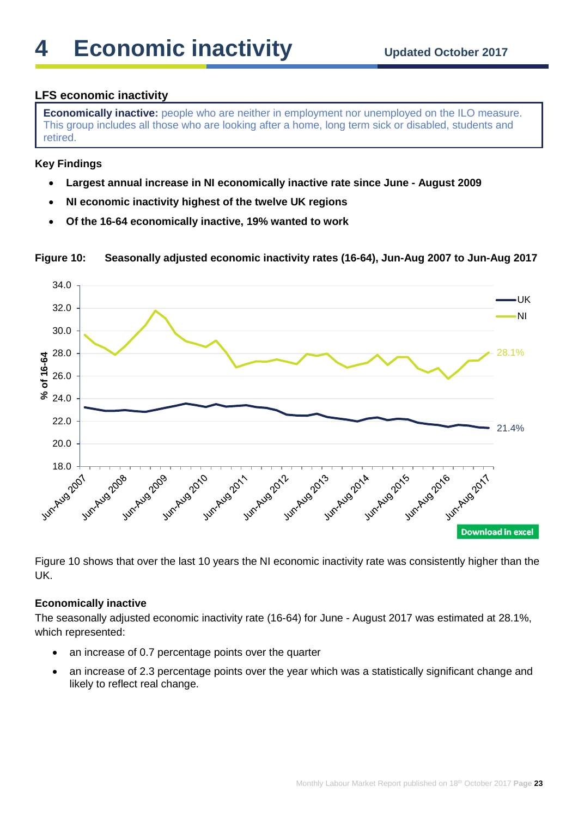# **LFS economic inactivity**

**Economically inactive:** people who are neither in employment nor unemployed on the ILO measure. This group includes all those who are looking after a home, long term sick or disabled, students and retired.

## **Key Findings**

- **Largest annual increase in NI economically inactive rate since June - August 2009**
- **NI economic inactivity highest of the twelve UK regions**
- **Of the 16-64 economically inactive, 19% wanted to work**



**Figure 10: Seasonally adjusted economic inactivity rates (16-64), Jun-Aug 2007 to Jun-Aug 2017**

Figure 10 shows that over the last 10 years the NI economic inactivity rate was consistently higher than the UK.

#### **Economically inactive**

The seasonally adjusted economic inactivity rate (16-64) for June - August 2017 was estimated at 28.1%, which represented:

- an increase of 0.7 percentage points over the quarter
- an increase of 2.3 percentage points over the year which was a statistically significant change and likely to reflect real change.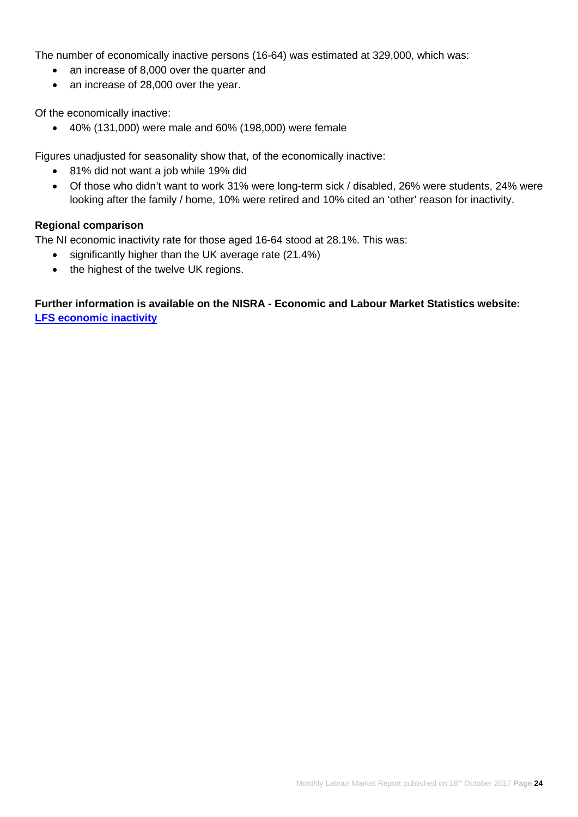The number of economically inactive persons (16-64) was estimated at 329,000, which was:

- an increase of 8,000 over the quarter and
- an increase of 28,000 over the year.

Of the economically inactive:

• 40% (131,000) were male and 60% (198,000) were female

Figures unadjusted for seasonality show that, of the economically inactive:

- 81% did not want a job while 19% did
- Of those who didn't want to work 31% were long-term sick / disabled, 26% were students, 24% were looking after the family / home, 10% were retired and 10% cited an 'other' reason for inactivity.

#### **Regional comparison**

The NI economic inactivity rate for those aged 16-64 stood at 28.1%. This was:

- significantly higher than the UK average rate (21.4%)
- the highest of the twelve UK regions.

# **Further information is available on the NISRA - Economic and Labour Market Statistics website: [LFS economic inactivity](https://www.nisra.gov.uk/statistics/labour-market-and-social-welfare/labour-force-survey)**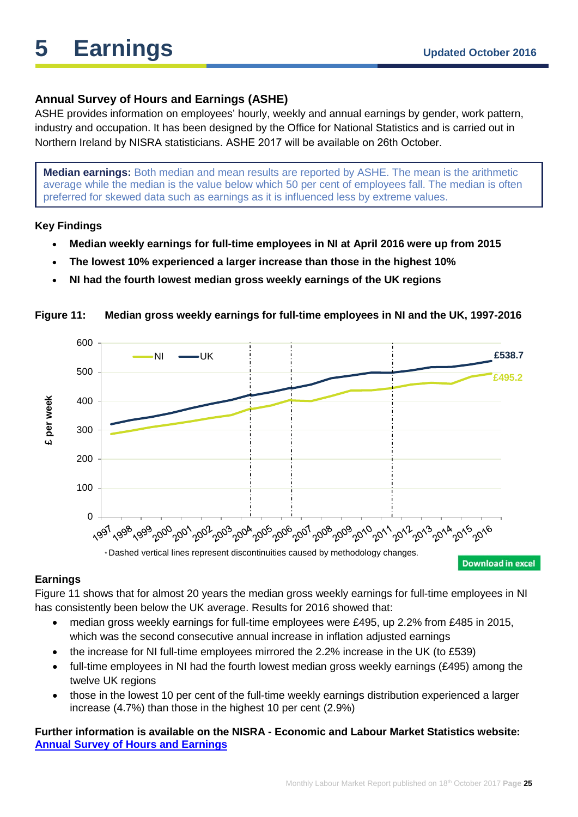# **Annual Survey of Hours and Earnings (ASHE)**

ASHE provides information on employees' hourly, weekly and annual earnings by gender, work pattern, industry and occupation. It has been designed by the Office for National Statistics and is carried out in Northern Ireland by NISRA statisticians. ASHE 2017 will be available on 26th October.

**Median earnings:** Both median and mean results are reported by ASHE. The mean is the arithmetic average while the median is the value below which 50 per cent of employees fall. The median is often preferred for skewed data such as earnings as it is influenced less by extreme values.

# **Key Findings**

- **Median weekly earnings for full-time employees in NI at April 2016 were up from 2015**
- **The lowest 10% experienced a larger increase than those in the highest 10%**
- **NI had the fourth lowest median gross weekly earnings of the UK regions**



# **Figure 11: Median gross weekly earnings for full-time employees in NI and the UK, 1997-2016**

#### **Earnings**

Figure 11 shows that for almost 20 years the median gross weekly earnings for full-time employees in NI has consistently been below the UK average. Results for 2016 showed that:

- median gross weekly earnings for full-time employees were £495, up 2.2% from £485 in 2015, which was the second consecutive annual increase in inflation adjusted earnings
- the increase for NI full-time employees mirrored the 2.2% increase in the UK (to £539)
- full-time employees in NI had the fourth lowest median gross weekly earnings (£495) among the twelve UK regions
- those in the lowest 10 per cent of the full-time weekly earnings distribution experienced a larger increase (4.7%) than those in the highest 10 per cent (2.9%)

# **Further information is available on the NISRA - Economic and Labour Market Statistics website: [Annual Survey of Hours and Earnings](https://www.nisra.gov.uk/statistics/labour-market-and-social-welfare/annual-survey-hours-and-earnings)**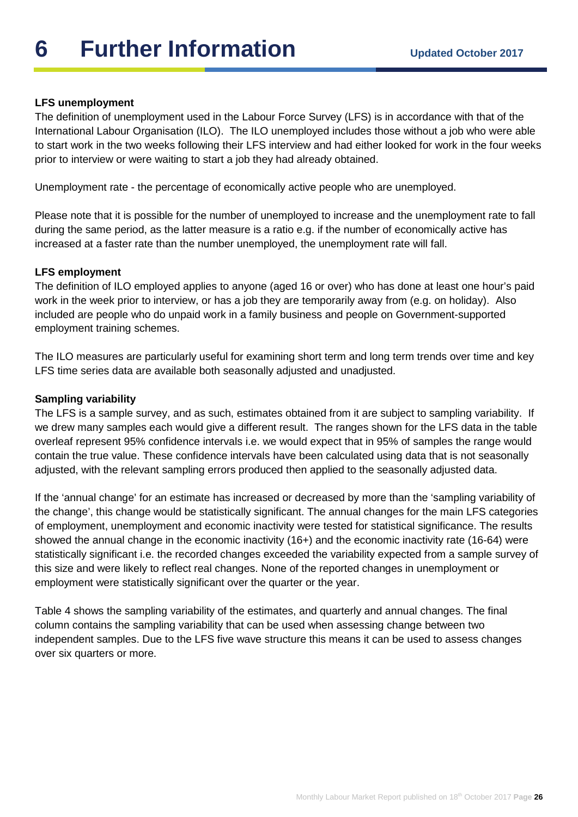# **6** Further Information **Updated October 2017**

# **LFS unemployment**

The definition of unemployment used in the Labour Force Survey (LFS) is in accordance with that of the International Labour Organisation (ILO). The ILO unemployed includes those without a job who were able to start work in the two weeks following their LFS interview and had either looked for work in the four weeks prior to interview or were waiting to start a job they had already obtained.

Unemployment rate - the percentage of economically active people who are unemployed.

Please note that it is possible for the number of unemployed to increase and the unemployment rate to fall during the same period, as the latter measure is a ratio e.g. if the number of economically active has increased at a faster rate than the number unemployed, the unemployment rate will fall.

#### **LFS employment**

The definition of ILO employed applies to anyone (aged 16 or over) who has done at least one hour's paid work in the week prior to interview, or has a job they are temporarily away from (e.g. on holiday). Also included are people who do unpaid work in a family business and people on Government-supported employment training schemes.

The ILO measures are particularly useful for examining short term and long term trends over time and key LFS time series data are available both seasonally adjusted and unadjusted.

#### **Sampling variability**

The LFS is a sample survey, and as such, estimates obtained from it are subject to sampling variability. If we drew many samples each would give a different result. The ranges shown for the LFS data in the table overleaf represent 95% confidence intervals i.e. we would expect that in 95% of samples the range would contain the true value. These confidence intervals have been calculated using data that is not seasonally adjusted, with the relevant sampling errors produced then applied to the seasonally adjusted data.

If the 'annual change' for an estimate has increased or decreased by more than the 'sampling variability of the change', this change would be statistically significant. The annual changes for the main LFS categories of employment, unemployment and economic inactivity were tested for statistical significance. The results showed the annual change in the economic inactivity (16+) and the economic inactivity rate (16-64) were statistically significant i.e. the recorded changes exceeded the variability expected from a sample survey of this size and were likely to reflect real changes. None of the reported changes in unemployment or employment were statistically significant over the quarter or the year.

Table 4 shows the sampling variability of the estimates, and quarterly and annual changes. The final column contains the sampling variability that can be used when assessing change between two independent samples. Due to the LFS five wave structure this means it can be used to assess changes over six quarters or more.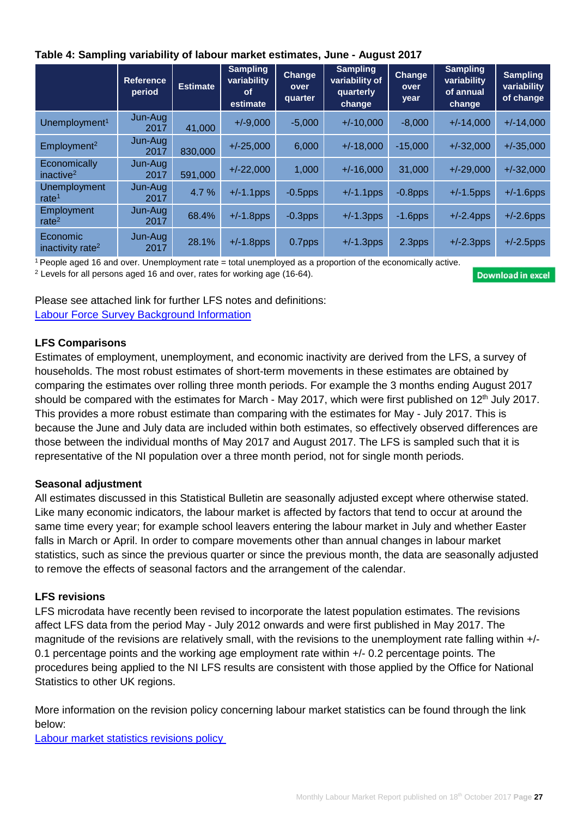|  | Table 4: Sampling variability of labour market estimates, June - August 2017 |  |
|--|------------------------------------------------------------------------------|--|
|--|------------------------------------------------------------------------------|--|

|                                          | <b>Reference</b><br>period | <b>Estimate</b> | <b>Sampling</b><br>variability<br><b>of</b><br>estimate | <b>Change</b><br>over<br>quarter | <b>Sampling</b><br>variability of<br>quarterly<br>change | Change<br>over<br>year | <b>Sampling</b><br>variability<br>of annual<br>change | <b>Sampling</b><br>variability<br>of change |
|------------------------------------------|----------------------------|-----------------|---------------------------------------------------------|----------------------------------|----------------------------------------------------------|------------------------|-------------------------------------------------------|---------------------------------------------|
| Unemployment <sup>1</sup>                | Jun-Aug<br>2017            | 41,000          | $+/-9,000$                                              | $-5,000$                         | $+/-10,000$                                              | $-8,000$               | $+/-14,000$                                           | $+/-14,000$                                 |
| Employment <sup>2</sup>                  | Jun-Aug<br>2017            | 830,000         | $+/-25,000$                                             | 6,000                            | $+/-18,000$                                              | $-15,000$              | $+/-32,000$                                           | $+/-35,000$                                 |
| Economically<br>inactive <sup>2</sup>    | Jun-Aug<br>2017            | 591,000         | $+/-22,000$                                             | 1,000                            | $+/-16,000$                                              | 31,000                 | $+/-29,000$                                           | $+/-32,000$                                 |
| <b>Unemployment</b><br>rate <sup>1</sup> | Jun-Aug<br>2017            | 4.7%            | $+/-1.1$ pps                                            | $-0.5$ pps                       | $+/-1.1$ pps                                             | $-0.8$ pps             | $+/-1.5$ pps                                          | $+/-1.6$ pps                                |
| Employment<br>rate $2$                   | Jun-Aug<br>2017            | 68.4%           | $+/-1.8$ pps                                            | $-0.3$ pps                       | $+/-1.3$ pps                                             | $-1.6$ pps             | $+/-2.4$ pps                                          | $+/-2.6$ pps                                |
| Economic<br>inactivity rate <sup>2</sup> | Jun-Aug<br>2017            | 28.1%           | $+/-1.8$ pps                                            | 0.7pps                           | $+/-1.3$ pps                                             | 2.3pps                 | $+/-2.3$ pps                                          | $+/-2.5$ pps                                |

 $1$  People aged 16 and over. Unemployment rate = total unemployed as a proportion of the economically active.

<sup>2</sup> Levels for all persons aged 16 and over, rates for working age (16-64).

**Download in excel** 

Please see attached link for further LFS notes and definitions: [Labour Force Survey Background Information](https://www.nisra.gov.uk/publications/labour-force-survey-background-information)

# **LFS Comparisons**

Estimates of employment, unemployment, and economic inactivity are derived from the LFS, a survey of households. The most robust estimates of short-term movements in these estimates are obtained by comparing the estimates over rolling three month periods. For example the 3 months ending August 2017 should be compared with the estimates for March - May 2017, which were first published on 12<sup>th</sup> July 2017. This provides a more robust estimate than comparing with the estimates for May - July 2017. This is because the June and July data are included within both estimates, so effectively observed differences are those between the individual months of May 2017 and August 2017. The LFS is sampled such that it is representative of the NI population over a three month period, not for single month periods.

# **Seasonal adjustment**

All estimates discussed in this Statistical Bulletin are seasonally adjusted except where otherwise stated. Like many economic indicators, the labour market is affected by factors that tend to occur at around the same time every year; for example school leavers entering the labour market in July and whether Easter falls in March or April. In order to compare movements other than annual changes in labour market statistics, such as since the previous quarter or since the previous month, the data are seasonally adjusted to remove the effects of seasonal factors and the arrangement of the calendar.

# **LFS revisions**

LFS microdata have recently been revised to incorporate the latest population estimates. The revisions affect LFS data from the period May - July 2012 onwards and were first published in May 2017. The magnitude of the revisions are relatively small, with the revisions to the unemployment rate falling within +/- 0.1 percentage points and the working age employment rate within +/- 0.2 percentage points. The procedures being applied to the NI LFS results are consistent with those applied by the Office for National Statistics to other UK regions.

More information on the revision policy concerning labour market statistics can be found through the link below:

[Labour market statistics revisions policy](https://www.ons.gov.uk/methodology/methodologytopicsandstatisticalconcepts/revisions/revisionspoliciesforlabourmarketstatistics)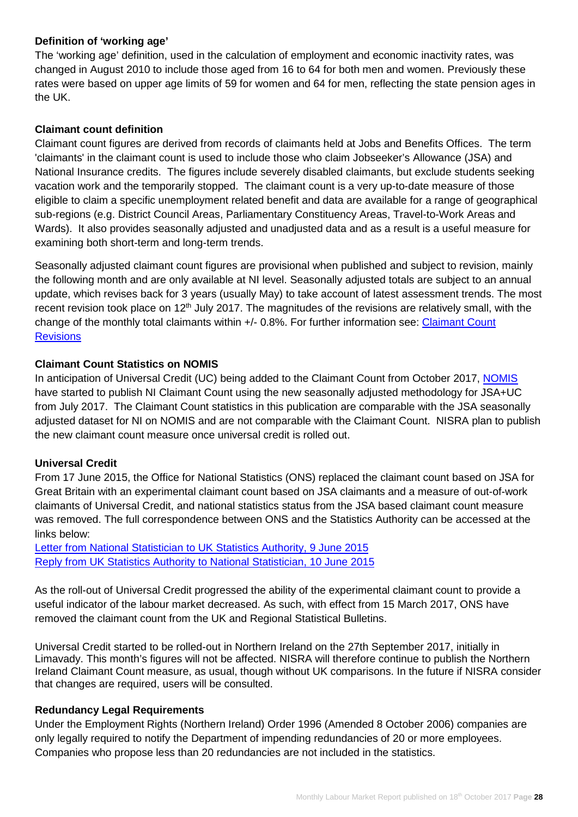# **Definition of 'working age'**

The 'working age' definition, used in the calculation of employment and economic inactivity rates, was changed in August 2010 to include those aged from 16 to 64 for both men and women. Previously these rates were based on upper age limits of 59 for women and 64 for men, reflecting the state pension ages in the UK.

# **Claimant count definition**

Claimant count figures are derived from records of claimants held at Jobs and Benefits Offices. The term 'claimants' in the claimant count is used to include those who claim Jobseeker's Allowance (JSA) and National Insurance credits. The figures include severely disabled claimants, but exclude students seeking vacation work and the temporarily stopped. The claimant count is a very up-to-date measure of those eligible to claim a specific unemployment related benefit and data are available for a range of geographical sub-regions (e.g. District Council Areas, Parliamentary Constituency Areas, Travel-to-Work Areas and Wards). It also provides seasonally adjusted and unadjusted data and as a result is a useful measure for examining both short-term and long-term trends.

Seasonally adjusted claimant count figures are provisional when published and subject to revision, mainly the following month and are only available at NI level. Seasonally adjusted totals are subject to an annual update, which revises back for 3 years (usually May) to take account of latest assessment trends. The most recent revision took place on 12<sup>th</sup> July 2017. The magnitudes of the revisions are relatively small, with the change of the monthly total claimants within +/- 0.8%. For further information see: Claimant Count **[Revisions](https://www.nisra.gov.uk/sites/nisra.gov.uk/files/publications/claimant-count-revisions-october-2017.xls)** 

#### **Claimant Count Statistics on NOMIS**

In anticipation of Universal Credit (UC) being added to the Claimant Count from October 2017, [NOMIS](https://www.nomisweb.co.uk/) have started to publish NI Claimant Count using the new seasonally adjusted methodology for JSA+UC from July 2017. The Claimant Count statistics in this publication are comparable with the JSA seasonally adjusted dataset for NI on NOMIS and are not comparable with the Claimant Count. NISRA plan to publish the new claimant count measure once universal credit is rolled out.

#### **Universal Credit**

From 17 June 2015, the Office for National Statistics (ONS) replaced the claimant count based on JSA for Great Britain with an experimental claimant count based on JSA claimants and a measure of out-of-work claimants of Universal Credit, and national statistics status from the JSA based claimant count measure was removed. The full correspondence between ONS and the Statistics Authority can be accessed at the links below:

[Letter from National Statistician to UK Statistics Authority, 9 June 2015](http://www.statisticsauthority.gov.uk/reports---correspondence/correspondence/letter-from-john-pullinger-to-ed-humpherson-090615.pdf) [Reply from UK Statistics Authority to National Statistician, 10 June 2015](http://www.statisticsauthority.gov.uk/reports---correspondence/correspondence/letter-from-ed-humpherson-to-john-pullinger-100615.pdf)

As the roll-out of Universal Credit progressed the ability of the experimental claimant count to provide a useful indicator of the labour market decreased. As such, with effect from 15 March 2017, ONS have removed the claimant count from the UK and Regional Statistical Bulletins.

Universal Credit started to be rolled-out in Northern Ireland on the 27th September 2017, initially in Limavady. This month's figures will not be affected. NISRA will therefore continue to publish the Northern Ireland Claimant Count measure, as usual, though without UK comparisons. In the future if NISRA consider that changes are required, users will be consulted.

#### **Redundancy Legal Requirements**

Under the Employment Rights (Northern Ireland) Order 1996 (Amended 8 October 2006) companies are only legally required to notify the Department of impending redundancies of 20 or more employees. Companies who propose less than 20 redundancies are not included in the statistics.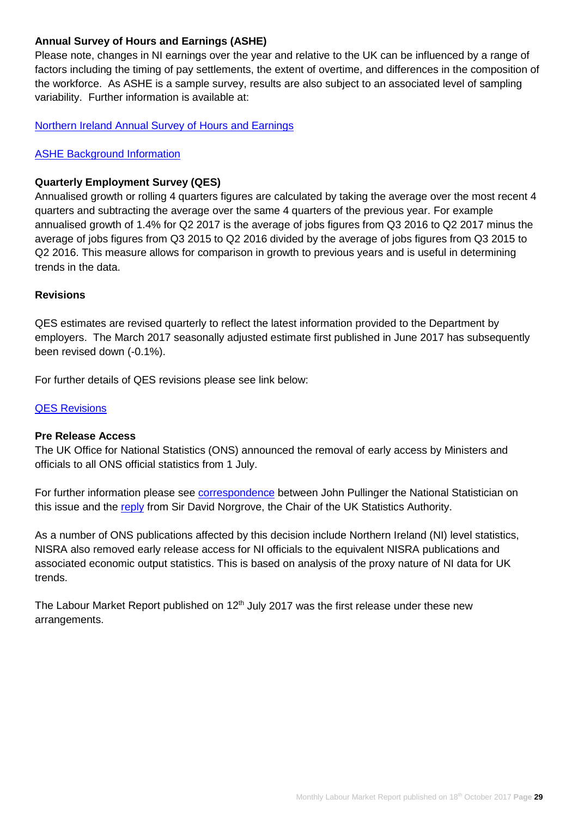# **Annual Survey of Hours and Earnings (ASHE)**

Please note, changes in NI earnings over the year and relative to the UK can be influenced by a range of factors including the timing of pay settlements, the extent of overtime, and differences in the composition of the workforce. As ASHE is a sample survey, results are also subject to an associated level of sampling variability. Further information is available at:

[Northern Ireland Annual Survey of Hours and Earnings](https://www.nisra.gov.uk/statistics/labour-market-and-social-welfare/annual-survey-hours-and-earnings)

#### [ASHE Background Information](https://www.nisra.gov.uk/publications/ashe-background-information)

#### **Quarterly Employment Survey (QES)**

Annualised growth or rolling 4 quarters figures are calculated by taking the average over the most recent 4 quarters and subtracting the average over the same 4 quarters of the previous year. For example annualised growth of 1.4% for Q2 2017 is the average of jobs figures from Q3 2016 to Q2 2017 minus the average of jobs figures from Q3 2015 to Q2 2016 divided by the average of jobs figures from Q3 2015 to Q2 2016. This measure allows for comparison in growth to previous years and is useful in determining trends in the data.

#### **Revisions**

QES estimates are revised quarterly to reflect the latest information provided to the Department by employers. The March 2017 seasonally adjusted estimate first published in June 2017 has subsequently been revised down (-0.1%).

For further details of QES revisions please see link below:

#### [QES Revisions](https://www.nisra.gov.uk/publications/quarterly-employment-survey-revisions)

#### **Pre Release Access**

The UK Office for National Statistics (ONS) announced the removal of early access by Ministers and officials to all ONS official statistics from 1 July.

For further information please see [correspondence](https://www.statisticsauthority.gov.uk/wp-content/uploads/2017/07/Letter-from-John-Pullinger-to-Sir-David-Norgrove-15-June-2017.pdf) between John Pullinger the National Statistician on this issue and the [reply](https://www.statisticsauthority.gov.uk/wp-content/uploads/2017/08/Letter-from-Sir-David-Norgrove-to-John-Pullinger-15-June-2017.pdf) from Sir David Norgrove, the Chair of the UK Statistics Authority.

As a number of ONS publications affected by this decision include Northern Ireland (NI) level statistics, NISRA also removed early release access for NI officials to the equivalent NISRA publications and associated economic output statistics. This is based on analysis of the proxy nature of NI data for UK trends.

The Labour Market Report published on  $12<sup>th</sup>$  July 2017 was the first release under these new arrangements.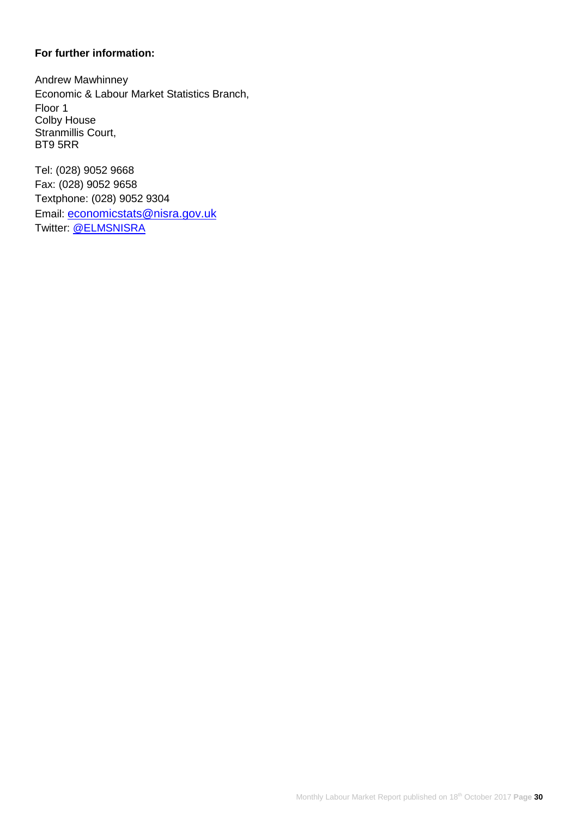## **For further information:**

Andrew Mawhinney Economic & Labour Market Statistics Branch, Floor 1 Colby House Stranmillis Court, BT9 5RR

Tel: (028) 9052 9668 Fax: (028) 9052 9658 Textphone: (028) 9052 9304 Email: [economicstats@nisra.gov.uk](mailto:economicstats@nisra.gov.uk) Twitter: [@ELMSNISRA](https://twitter.com/ELMSNISRA)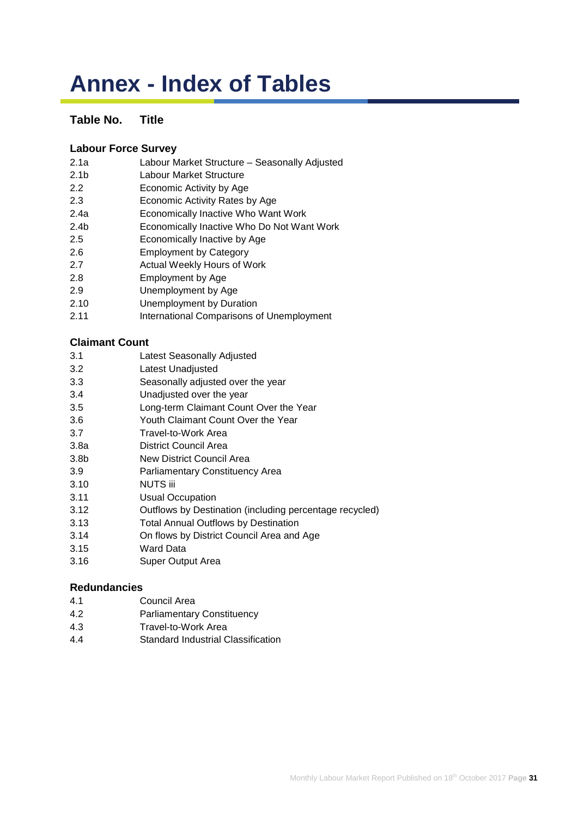# **Annex - Index of Tables**

# **Table No. Title**

## **[Labour Force Survey](https://www.nisra.gov.uk/publications/labour-force-survey-tables-october-2017)**

- 2.1a [Labour Market Structure –](https://www.nisra.gov.uk/publications/labour-force-survey-tables-october-2017) Seasonally Adjusted
- 2.1b [Labour Market Structure](https://www.nisra.gov.uk/publications/labour-force-survey-tables-october-2017)
- 2.2 [Economic Activity by Age](https://www.nisra.gov.uk/publications/labour-force-survey-tables-october-2017)
- 2.3 [Economic Activity Rates by Age](https://www.nisra.gov.uk/publications/labour-force-survey-tables-october-2017)
- 2.4a [Economically Inactive Who Want Work](https://www.nisra.gov.uk/publications/labour-force-survey-tables-october-2017)
- 2.4b [Economically Inactive Who Do Not Want Work](https://www.nisra.gov.uk/publications/labour-force-survey-tables-october-2017)
- 2.5 [Economically Inactive by Age](https://www.nisra.gov.uk/publications/labour-force-survey-tables-october-2017)
- 2.6 [Employment by Category](https://www.nisra.gov.uk/publications/labour-force-survey-tables-october-2017)
- 2.7 [Actual Weekly Hours of Work](https://www.nisra.gov.uk/publications/labour-force-survey-tables-october-2017)
- 2.8 [Employment by Age](https://www.nisra.gov.uk/publications/labour-force-survey-tables-october-2017)
- 2.9 [Unemployment by Age](https://www.nisra.gov.uk/publications/labour-force-survey-tables-october-2017)
- 2.10 [Unemployment by Duration](https://www.nisra.gov.uk/publications/labour-force-survey-tables-october-2017)
- 2.11 [International Comparisons of Unemployment](https://www.nisra.gov.uk/publications/labour-force-survey-tables-october-2017)

# **[Claimant Count](https://www.nisra.gov.uk/publications/claimant-count-tables-september-2017)**

- 3.1 [Latest Seasonally Adjusted](https://www.nisra.gov.uk/publications/claimant-count-tables-september-2017)
- 3.2 [Latest Unadjusted](https://www.nisra.gov.uk/publications/claimant-count-tables-september-2017)
- 3.3 [Seasonally adjusted over the year](https://www.nisra.gov.uk/publications/claimant-count-tables-september-2017)
- 3.4 [Unadjusted over the year](https://www.nisra.gov.uk/publications/claimant-count-tables-september-2017)
- 3.5 [Long-term Claimant Count Over the Year](https://www.nisra.gov.uk/publications/claimant-count-tables-september-2017)
- 3.6 [Youth Claimant Count Over the Year](https://www.nisra.gov.uk/publications/claimant-count-tables-september-2017)
- 3.7 [Travel-to-Work Area](https://www.nisra.gov.uk/publications/claimant-count-tables-september-2017)
- 3.8a [District Council Area](https://www.nisra.gov.uk/publications/claimant-count-tables-september-2017)
- 3.8b [New District Council Area](https://www.nisra.gov.uk/publications/claimant-count-tables-september-2017)
- 3.9 [Parliamentary Constituency Area](https://www.nisra.gov.uk/publications/claimant-count-tables-september-2017)
- 3.10 [NUTS iii](https://www.nisra.gov.uk/publications/claimant-count-tables-september-2017)
- 3.11 [Usual Occupation](https://www.nisra.gov.uk/publications/claimant-count-tables-september-2017)
- 3.12 [Outflows by Destination \(including percentage recycled\)](https://www.nisra.gov.uk/publications/claimant-count-tables-september-2017)
- 3.13 [Total Annual Outflows by Destination](https://www.nisra.gov.uk/publications/claimant-count-tables-september-2017)
- 3.14 [On flows by District Council Area and Age](https://www.nisra.gov.uk/publications/claimant-count-tables-september-2017)
- 3.15 [Ward Data](https://www.nisra.gov.uk/publications/claimant-count-tables-september-2017)
- [3.16 Super Output Area](https://www.nisra.gov.uk/publications/claimant-count-tables-september-2017)

#### **[Redundancies](https://www.nisra.gov.uk/publications/redundancy-tables-september-2017)**

- 4.1 [Council Area](https://www.nisra.gov.uk/publications/redundancy-tables-september-2017)
- 4.2 [Parliamentary Constituency](https://www.nisra.gov.uk/publications/redundancy-tables-september-2017)
- 4.3 [Travel-to-Work Area](https://www.nisra.gov.uk/publications/redundancy-tables-september-2017)
- 4.4 [Standard Industrial Classification](https://www.nisra.gov.uk/publications/redundancy-tables-september-2017)